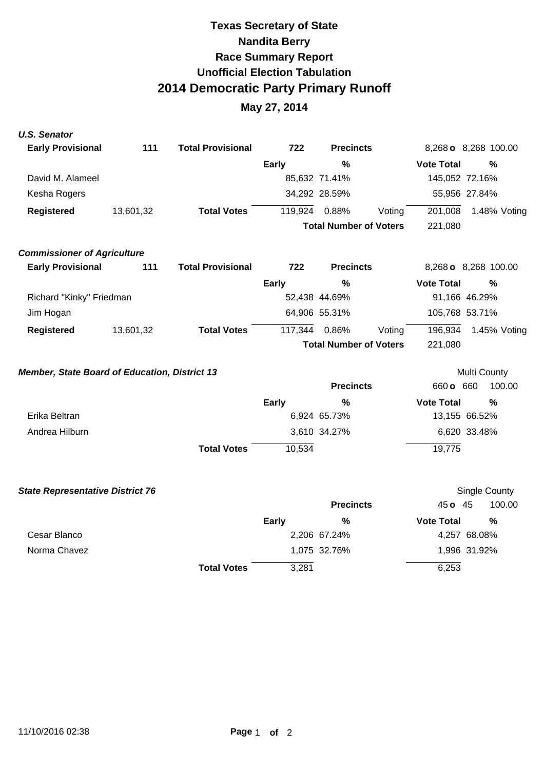## **Texas Secretary of State Nandita Berry Race Summary Report Unofficial Election Tabulation 2014 Democratic Party Primary Runoff**

## **May 27, 2014**

| <b>U.S. Senator</b>                                  |           |                          |                               |                               |        |                      |                      |
|------------------------------------------------------|-----------|--------------------------|-------------------------------|-------------------------------|--------|----------------------|----------------------|
| <b>Early Provisional</b>                             | 111       | <b>Total Provisional</b> | 722                           | <b>Precincts</b>              |        | 8,268 o 8,268 100.00 |                      |
|                                                      |           |                          | <b>Early</b>                  | %                             |        | <b>Vote Total</b>    | %                    |
| David M. Alameel                                     |           |                          |                               | 85,632 71.41%                 |        | 145,052 72.16%       |                      |
| Kesha Rogers                                         |           |                          |                               | 34,292 28.59%                 |        |                      | 55,956 27.84%        |
| <b>Registered</b>                                    | 13,601,32 | <b>Total Votes</b>       |                               | 119,924 0.88%                 | Voting | 201,008              | 1.48% Voting         |
|                                                      |           |                          | <b>Total Number of Voters</b> |                               |        | 221,080              |                      |
| <b>Commissioner of Agriculture</b>                   |           |                          |                               |                               |        |                      |                      |
| <b>Early Provisional</b>                             | 111       | <b>Total Provisional</b> | 722                           | <b>Precincts</b>              |        |                      | 8,268 o 8,268 100.00 |
|                                                      |           |                          | <b>Early</b>                  | %                             |        | <b>Vote Total</b>    | $\frac{0}{0}$        |
| Richard "Kinky" Friedman                             |           |                          |                               | 52,438 44.69%                 |        |                      | 91,166 46.29%        |
| Jim Hogan                                            |           |                          |                               | 64,906 55.31%                 |        | 105,768 53.71%       |                      |
| <b>Registered</b>                                    | 13,601,32 | <b>Total Votes</b>       | 117,344                       | 0.86%                         | Voting | 196,934              | 1.45% Voting         |
|                                                      |           |                          |                               | <b>Total Number of Voters</b> |        | 221,080              |                      |
| <b>Member, State Board of Education, District 13</b> |           |                          |                               |                               |        |                      | Multi County         |
|                                                      |           |                          |                               | <b>Precincts</b>              |        | 660 o 660            | 100.00               |
|                                                      |           |                          | <b>Early</b>                  | %                             |        | <b>Vote Total</b>    | %                    |
| Erika Beltran                                        |           |                          |                               | 6,924 65.73%                  |        |                      | 13,155 66.52%        |
| Andrea Hilburn                                       |           |                          |                               | 3,610 34.27%                  |        |                      | 6,620 33.48%         |
|                                                      |           | <b>Total Votes</b>       | 10,534                        |                               |        | 19,775               |                      |
| <b>State Representative District 76</b>              |           |                          |                               |                               |        |                      | Single County        |
|                                                      |           |                          |                               | <b>Precincts</b>              |        | 45 o 45              | 100.00               |
|                                                      |           |                          | <b>Early</b>                  | %                             |        | <b>Vote Total</b>    | $\frac{0}{0}$        |
| Cesar Blanco                                         |           |                          |                               | 2,206 67.24%                  |        | 4,257 68.08%         |                      |

Norma Chavez 2008 1,075 32.76% 1,075 1,075 1,996 31.92%

**Total Votes** 3,281 6,253